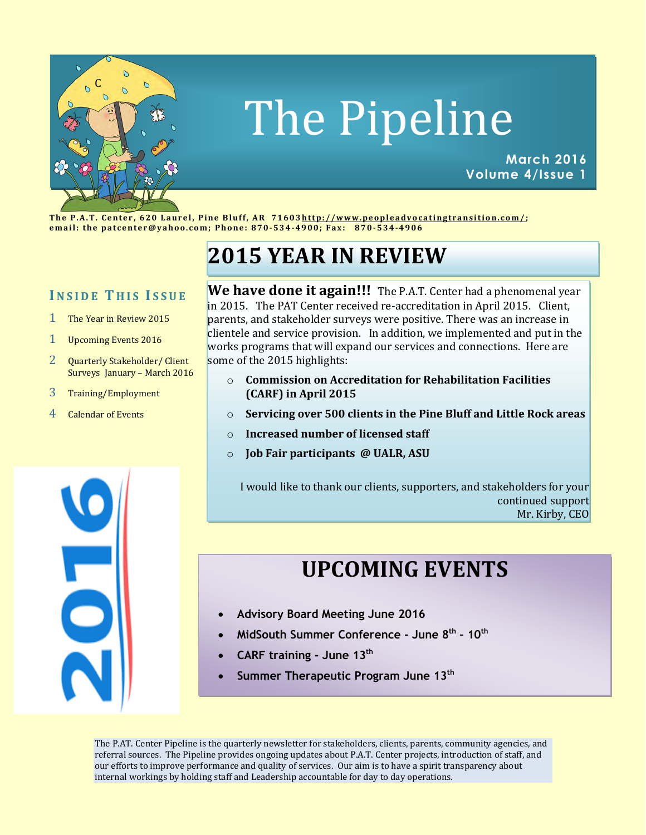

# The Pipeline

**March 2016 Volume 4/Issue 1**

The P.A.T. Center, 620 Laurel, Pine Bluff, AR 71603http://www.peopleadvocatingtransition.com/; **e m a i l : t h e p a t c e n t e r @ y a h o o . c o m ; P h o n e : 870-534-49 0 0; F a x : 8 7 0-534-4906**

# **2015 YEAR IN REVIEW**

## **I N S I D E T H I S I S S U E**

- 1 The Year in Review 2015
- 1 Upcoming Events 2016
- 2 Quarterly Stakeholder/ Client Surveys January – March 2016
- 3 Training/Employment
- 4 Calendar of Events

**We have done it again!!!** The P.A.T. Center had a phenomenal year in 2015. The PAT Center received re-accreditation in April 2015. Client, parents, and stakeholder surveys were positive. There was an increase in clientele and service provision. In addition, we implemented and put in the works programs that will expand our services and connections. Here are some of the 2015 highlights:

- o **Commission on Accreditation for Rehabilitation Facilities (CARF) in April 2015**
- o **Servicing over 500 clients in the Pine Bluff and Little Rock areas**
- o **Increased number of licensed staff**
- o **Job Fair participants @ UALR, ASU**

I would like to thank our clients, supporters, and stakeholders for your continued support Mr. Kirby, CEO

# **UPCOMING EVENTS**

- **Advisory Board Meeting June 2016**
- **MidSouth Summer Conference - June 8th – 10th**
- **CARF training - June 13th**
- **Summer Therapeutic Program June 13th**

The P.AT. Center Pipeline is the quarterly newsletter for stakeholders, clients, parents, community agencies, and referral sources. The Pipeline provides ongoing updates about P.A.T. Center projects, introduction of staff, and our efforts to improve performance and quality of services. Our aim is to have a spirit transparency about internal workings by holding staff and Leadership accountable for day to day operations.

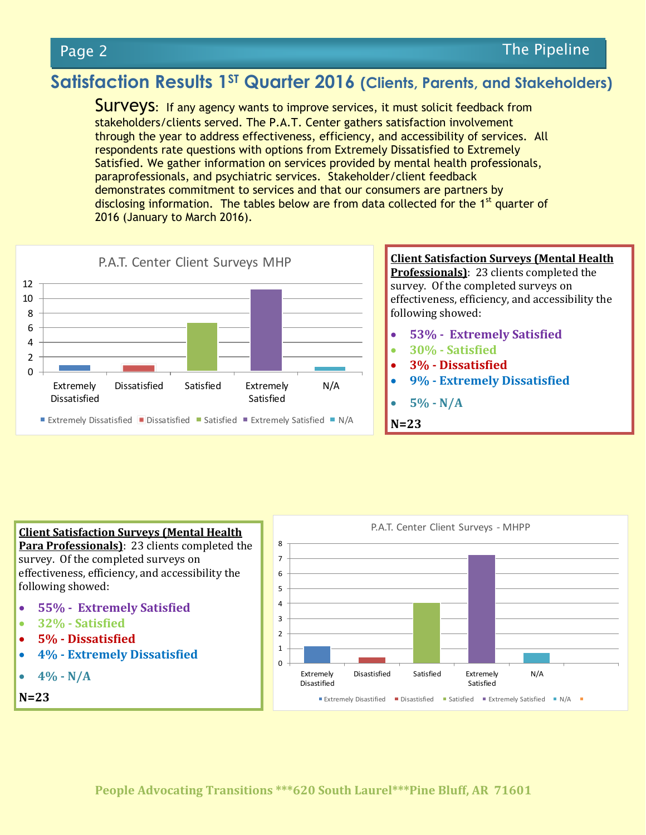# **Satisfaction Results 1ST Quarter 2016 (Clients, Parents, and Stakeholders)**

Surveys: If any agency wants to improve services, it must solicit feedback from stakeholders/clients served. The P.A.T. Center gathers satisfaction involvement through the year to address effectiveness, efficiency, and accessibility of services. All respondents rate questions with options from Extremely Dissatisfied to Extremely Satisfied. We gather information on services provided by mental health professionals, paraprofessionals, and psychiatric services. Stakeholder/client feedback demonstrates commitment to services and that our consumers are partners by disclosing information. The tables below are from data collected for the 1<sup>st</sup> quarter of 2016 (January to March 2016).



#### **Client Satisfaction Surveys (Mental Health Para Professionals)**: 23 clients completed the

survey. Of the completed surveys on effectiveness, efficiency, and accessibility the following showed:

- **55% Extremely Satisfied**
- **32% - Satisfied**
- **5% - Dissatisfied**
- **4% - Extremely Dissatisfied**

```
 4% - N/A
```
**N=23**

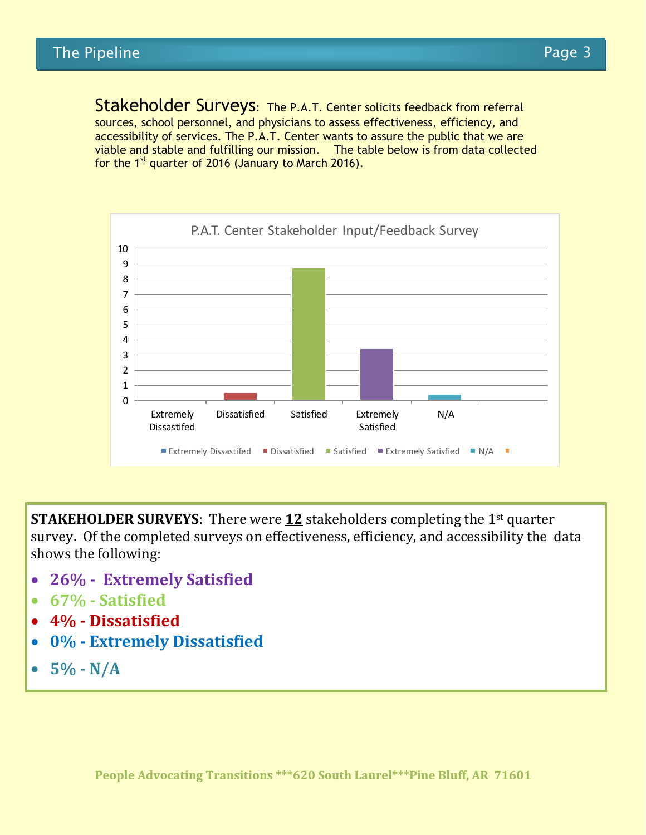Stakeholder Surveys: The P.A.T. Center solicits feedback from referral sources, school personnel, and physicians to assess effectiveness, efficiency, and accessibility of services. The P.A.T. Center wants to assure the public that we are viable and stable and fulfilling our mission. The table below is from data collected for the  $1<sup>st</sup>$  quarter of 2016 (January to March 2016).



**STAKEHOLDER SURVEYS:** There were 12 stakeholders completing the 1<sup>st</sup> quarter survey. Of the completed surveys on effectiveness, efficiency, and accessibility the data shows the following:

- **26% Extremely Satisfied**
- **67% - Satisfied**
- **4% - Dissatisfied**
- **0% - Extremely Dissatisfied**
- **5% - N/A**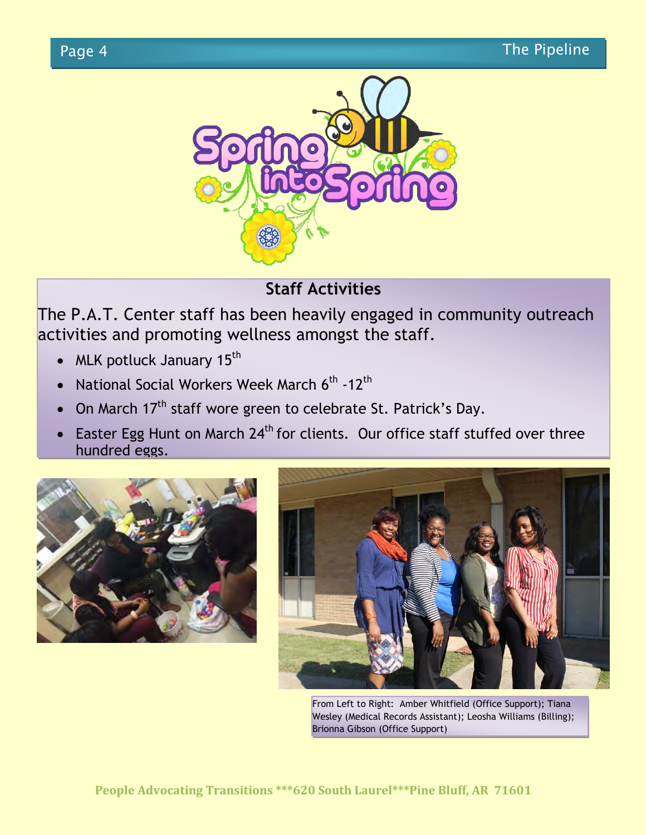

# **Staff Activities**

The P.A.T. Center staff has been heavily engaged in community outreach activities and promoting wellness amongst the staff.

- MLK potluck January  $15<sup>th</sup>$
- National Social Workers Week March 6<sup>th</sup> -12<sup>th</sup>
- On March 17<sup>th</sup> staff wore green to celebrate St. Patrick's Day.
- Easter Egg Hunt on March 24<sup>th</sup> for clients. Our office staff stuffed over three hundred eggs.





From Left to Right: Amber Whitfield (Office Support); Tiana Wesley (Medical Records Assistant); Leosha Williams (Billing); Brionna Gibson (Office Support)